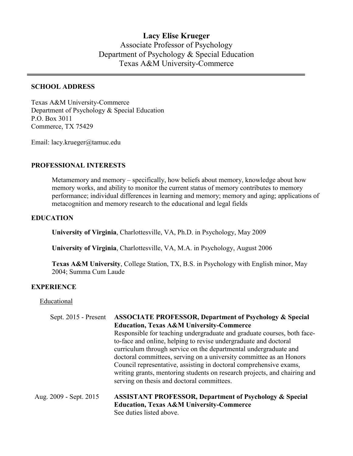# **Lacy Elise Krueger** Associate Professor of Psychology Department of Psychology & Special Education Texas A&M University-Commerce

#### **SCHOOL ADDRESS**

Texas A&M University-Commerce Department of Psychology & Special Education P.O. Box 3011 Commerce, TX 75429

Email: lacy.krueger@tamuc.edu

### **PROFESSIONAL INTERESTS**

Metamemory and memory – specifically, how beliefs about memory, knowledge about how memory works, and ability to monitor the current status of memory contributes to memory performance; individual differences in learning and memory; memory and aging; applications of metacognition and memory research to the educational and legal fields

#### **EDUCATION**

**University of Virginia**, Charlottesville, VA, Ph.D. in Psychology, May 2009

**University of Virginia**, Charlottesville, VA, M.A. in Psychology, August 2006

**Texas A&M University**, College Station, TX, B.S. in Psychology with English minor, May 2004; Summa Cum Laude

#### **EXPERIENCE**

**Educational** 

| Sept. 2015 - Present   | <b>ASSOCIATE PROFESSOR, Department of Psychology &amp; Special</b>        |
|------------------------|---------------------------------------------------------------------------|
|                        | <b>Education, Texas A&amp;M University-Commerce</b>                       |
|                        | Responsible for teaching undergraduate and graduate courses, both face-   |
|                        | to-face and online, helping to revise undergraduate and doctoral          |
|                        | curriculum through service on the departmental undergraduate and          |
|                        | doctoral committees, serving on a university committee as an Honors       |
|                        | Council representative, assisting in doctoral comprehensive exams,        |
|                        | writing grants, mentoring students on research projects, and chairing and |
|                        | serving on thesis and doctoral committees.                                |
| Aug. 2009 - Sept. 2015 | <b>ASSISTANT PROFESSOR, Department of Psychology &amp; Special</b>        |
|                        | <b>Education, Texas A&amp;M University-Commerce</b>                       |
|                        | See duties listed above.                                                  |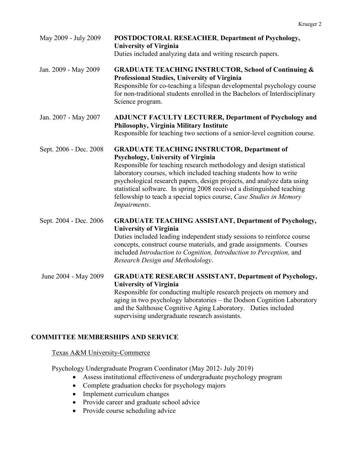| May 2009 - July 2009   | POSTDOCTORAL RESEACHER, Department of Psychology,<br><b>University of Virginia</b><br>Duties included analyzing data and writing research papers.                                                                                                                                                                                                                                                                                                                                |
|------------------------|----------------------------------------------------------------------------------------------------------------------------------------------------------------------------------------------------------------------------------------------------------------------------------------------------------------------------------------------------------------------------------------------------------------------------------------------------------------------------------|
| Jan. 2009 - May 2009   | <b>GRADUATE TEACHING INSTRUCTOR, School of Continuing &amp;</b><br>Professional Studies, University of Virginia<br>Responsible for co-teaching a lifespan developmental psychology course<br>for non-traditional students enrolled in the Bachelors of Interdisciplinary<br>Science program.                                                                                                                                                                                     |
| Jan. 2007 - May 2007   | <b>ADJUNCT FACULTY LECTURER, Department of Psychology and</b><br>Philosophy, Virginia Military Institute<br>Responsible for teaching two sections of a senior-level cognition course.                                                                                                                                                                                                                                                                                            |
| Sept. 2006 - Dec. 2008 | <b>GRADUATE TEACHING INSTRUCTOR, Department of</b><br>Psychology, University of Virginia<br>Responsible for teaching research methodology and design statistical<br>laboratory courses, which included teaching students how to write<br>psychological research papers, design projects, and analyze data using<br>statistical software. In spring 2008 received a distinguished teaching<br>fellowship to teach a special topics course, Case Studies in Memory<br>Impairments. |
| Sept. 2004 - Dec. 2006 | <b>GRADUATE TEACHING ASSISTANT, Department of Psychology,</b><br><b>University of Virginia</b><br>Duties included leading independent study sessions to reinforce course<br>concepts, construct course materials, and grade assignments. Courses<br>included Introduction to Cognition, Introduction to Perception, and<br>Research Design and Methodology.                                                                                                                      |
| June 2004 - May 2009   | <b>GRADUATE RESEARCH ASSISTANT, Department of Psychology,</b><br><b>University of Virginia</b><br>Responsible for conducting multiple research projects on memory and<br>aging in two psychology laboratories - the Dodson Cognition Laboratory<br>and the Salthouse Cognitive Aging Laboratory. Duties included<br>supervising undergraduate research assistants.                                                                                                               |

# **COMMITTEE MEMBERSHIPS AND SERVICE**

### Texas A&M University-Commerce

Psychology Undergraduate Program Coordinator (May 2012- July 2019)

- Assess institutional effectiveness of undergraduate psychology program
- Complete graduation checks for psychology majors
- Implement curriculum changes
- Provide career and graduate school advice
- Provide course scheduling advice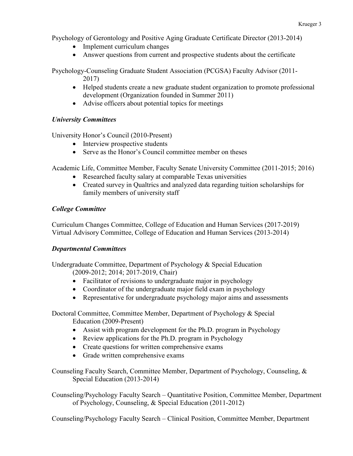Psychology of Gerontology and Positive Aging Graduate Certificate Director (2013-2014)

- Implement curriculum changes
- Answer questions from current and prospective students about the certificate

Psychology-Counseling Graduate Student Association (PCGSA) Faculty Advisor (2011- 2017)

- Helped students create a new graduate student organization to promote professional development (Organization founded in Summer 2011)
- Advise officers about potential topics for meetings

### *University Committees*

University Honor's Council (2010-Present)

- Interview prospective students
- Serve as the Honor's Council committee member on theses

Academic Life, Committee Member, Faculty Senate University Committee (2011-2015; 2016)

- Researched faculty salary at comparable Texas universities
- Created survey in Qualtrics and analyzed data regarding tuition scholarships for family members of university staff

### *College Committee*

Curriculum Changes Committee, College of Education and Human Services (2017-2019) Virtual Advisory Committee, College of Education and Human Services (2013-2014)

### *Departmental Committees*

Undergraduate Committee, Department of Psychology & Special Education (2009-2012; 2014; 2017-2019, Chair)

- Facilitator of revisions to undergraduate major in psychology
- Coordinator of the undergraduate major field exam in psychology
- Representative for undergraduate psychology major aims and assessments

Doctoral Committee, Committee Member, Department of Psychology & Special Education (2009-Present)

- Assist with program development for the Ph.D. program in Psychology
- Review applications for the Ph.D. program in Psychology
- Create questions for written comprehensive exams
- Grade written comprehensive exams

Counseling Faculty Search, Committee Member, Department of Psychology, Counseling, & Special Education (2013-2014)

Counseling/Psychology Faculty Search – Quantitative Position, Committee Member, Department of Psychology, Counseling, & Special Education (2011-2012)

Counseling/Psychology Faculty Search – Clinical Position, Committee Member, Department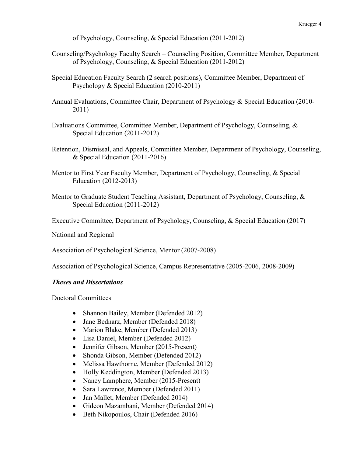of Psychology, Counseling, & Special Education (2011-2012)

- Counseling/Psychology Faculty Search Counseling Position, Committee Member, Department of Psychology, Counseling, & Special Education (2011-2012)
- Special Education Faculty Search (2 search positions), Committee Member, Department of Psychology & Special Education (2010-2011)
- Annual Evaluations, Committee Chair, Department of Psychology & Special Education (2010- 2011)
- Evaluations Committee, Committee Member, Department of Psychology, Counseling, & Special Education (2011-2012)
- Retention, Dismissal, and Appeals, Committee Member, Department of Psychology, Counseling, & Special Education (2011-2016)
- Mentor to First Year Faculty Member, Department of Psychology, Counseling, & Special Education (2012-2013)
- Mentor to Graduate Student Teaching Assistant, Department of Psychology, Counseling, & Special Education (2011-2012)

Executive Committee, Department of Psychology, Counseling, & Special Education (2017)

National and Regional

Association of Psychological Science, Mentor (2007-2008)

Association of Psychological Science, Campus Representative (2005-2006, 2008-2009)

#### *Theses and Dissertations*

Doctoral Committees

- Shannon Bailey, Member (Defended 2012)
- Jane Bednarz, Member (Defended 2018)
- Marion Blake, Member (Defended 2013)
- Lisa Daniel, Member (Defended 2012)
- Jennifer Gibson, Member (2015-Present)
- Shonda Gibson, Member (Defended 2012)
- Melissa Hawthorne, Member (Defended 2012)
- Holly Keddington, Member (Defended 2013)
- Nancy Lamphere, Member (2015-Present)
- Sara Lawrence, Member (Defended 2011)
- Jan Mallet, Member (Defended 2014)
- Gideon Mazambani, Member (Defended 2014)
- Beth Nikopoulos, Chair (Defended 2016)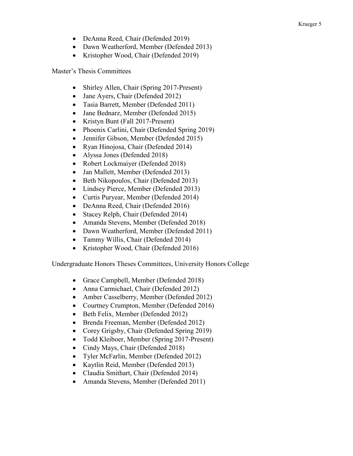- DeAnna Reed, Chair (Defended 2019)
- Dawn Weatherford, Member (Defended 2013)
- Kristopher Wood, Chair (Defended 2019)

Master's Thesis Committees

- Shirley Allen, Chair (Spring 2017-Present)
- Jane Ayers, Chair (Defended 2012)
- Tasia Barrett, Member (Defended 2011)
- Jane Bednarz, Member (Defended 2015)
- Kristyn Bunt (Fall 2017-Present)
- Phoenix Carlini, Chair (Defended Spring 2019)
- Jennifer Gibson, Member (Defended 2015)
- Ryan Hinojosa, Chair (Defended 2014)
- Alyssa Jones (Defended 2018)
- Robert Lockmaiyer (Defended 2018)
- Jan Mallett, Member (Defended 2013)
- Beth Nikopoulos, Chair (Defended 2013)
- Lindsey Pierce, Member (Defended 2013)
- Curtis Puryear, Member (Defended 2014)
- DeAnna Reed, Chair (Defended 2016)
- Stacey Relph, Chair (Defended 2014)
- Amanda Stevens, Member (Defended 2018)
- Dawn Weatherford, Member (Defended 2011)
- Tammy Willis, Chair (Defended 2014)
- Kristopher Wood, Chair (Defended 2016)

Undergraduate Honors Theses Committees, University Honors College

- Grace Campbell, Member (Defended 2018)
- Anna Carmichael, Chair (Defended 2012)
- Amber Casselberry, Member (Defended 2012)
- Courtney Crumpton, Member (Defended 2016)
- Beth Felix, Member (Defended 2012)
- Brenda Freeman, Member (Defended 2012)
- Corey Grigsby, Chair (Defended Spring 2019)
- Todd Kleiboer, Member (Spring 2017-Present)
- Cindy Mays, Chair (Defended 2018)
- Tyler McFarlin, Member (Defended 2012)
- Kaytlin Reid, Member (Defended 2013)
- Claudia Smithart, Chair (Defended 2014)
- Amanda Stevens, Member (Defended 2011)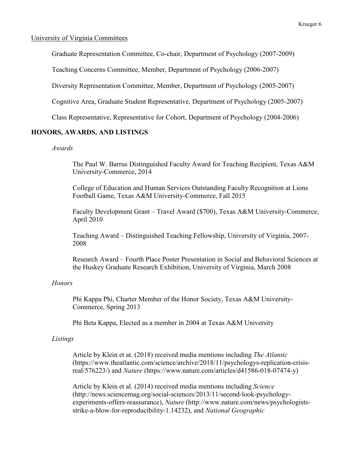#### University of Virginia Committees

Graduate Representation Committee, Co-chair, Department of Psychology (2007-2009)

Teaching Concerns Committee, Member, Department of Psychology (2006-2007)

Diversity Representation Committee, Member, Department of Psychology (2005-2007)

Cognitive Area, Graduate Student Representative, Department of Psychology (2005-2007)

Class Representative, Representative for Cohort, Department of Psychology (2004-2006)

#### **HONORS, AWARDS, AND LISTINGS**

#### *Awards*

The Paul W. Barrus Distinguished Faculty Award for Teaching Recipient, Texas A&M University-Commerce, 2014

College of Education and Human Services Outstanding Faculty Recognition at Lions Football Game, Texas A&M University-Commerce, Fall 2015

Faculty Development Grant – Travel Award (\$700), Texas A&M University-Commerce, April 2010

Teaching Award – Distinguished Teaching Fellowship, University of Virginia, 2007- 2008

Research Award – Fourth Place Poster Presentation in Social and Behavioral Sciences at the Huskey Graduate Research Exhibition, University of Virginia, March 2008

#### *Honors*

Phi Kappa Phi, Charter Member of the Honor Society, Texas A&M University-Commerce, Spring 2013

Phi Beta Kappa, Elected as a member in 2004 at Texas A&M University

#### *Listings*

Article by Klein et at. (2018) received media mentions including *The Atlantic* (https://www.theatlantic.com/science/archive/2018/11/psychologys-replication-crisisreal/576223/) and *Nature* (https://www.nature.com/articles/d41586-018-07474-y)

Article by Klein et al. (2014) received media mentions including *Science* [\(http://news.sciencemag.org/social-sciences/2013/11/second-look-psychology](http://news.sciencemag.org/social-sciences/2013/11/second-look-psychology-experiments-offers-reassurance)[experiments-offers-reassurance\)](http://news.sciencemag.org/social-sciences/2013/11/second-look-psychology-experiments-offers-reassurance), *Nature* [\(http://www.nature.com/news/psychologists](http://www.nature.com/news/psychologists-strike-a-blow-for-reproducibility-1.14232)[strike-a-blow-for-reproducibility-1.14232\)](http://www.nature.com/news/psychologists-strike-a-blow-for-reproducibility-1.14232), and *National Geographic*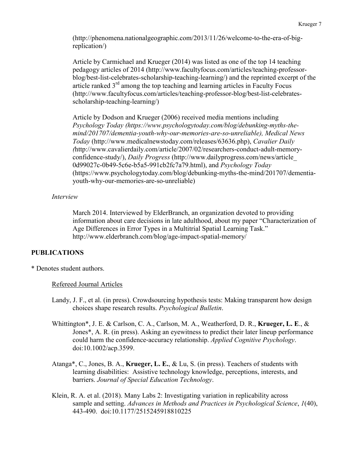[\(http://phenomena.nationalgeographic.com/2013/11/26/welcome-to-the-era-of-big](http://phenomena.nationalgeographic.com/2013/11/26/welcome-to-the-era-of-big-replication/)[replication/\)](http://phenomena.nationalgeographic.com/2013/11/26/welcome-to-the-era-of-big-replication/)

Article by Carmichael and Krueger (2014) was listed as one of the top 14 teaching pedagogy articles of 2014 (http://www.facultyfocus.com/articles/teaching-professorblog/best-list-celebrates-scholarship-teaching-learning/) and the reprinted excerpt of the article ranked  $3<sup>rd</sup>$  among the top teaching and learning articles in Faculty Focus (http://www.facultyfocus.com/articles/teaching-professor-blog/best-list-celebratesscholarship-teaching-learning/)

Article by Dodson and Krueger (2006) received media mentions including *Psychology Today (https://www.psychologytoday.com/blog/debunking-myths-themind/201707/dementia-youth-why-our-memories-are-so-unreliable), Medical News Today* [\(http://www.medicalnewstoday.com/releases/63636.php\),](http://www.medicalnewstoday.com/releases/63636.php),%20Cavalier) *Cavalier Daily (*[http://www.cavalierdaily.com/article/2007/02/researchers-conduct-adult-memory](http://www.cavalierdaily.com/article/2007/02/researchers-conduct-adult-memory-confidence-study/)[confidence-study/\)](http://www.cavalierdaily.com/article/2007/02/researchers-conduct-adult-memory-confidence-study/), *Daily Progress* (http://www.dailyprogress.com/news/article\_ 0d99027c-0b49-5c6e-b5a5-991cb2fc7a79.html), and *Psychology Today* (https://www.psychologytoday.com/blog/debunking-myths-the-mind/201707/dementiayouth-why-our-memories-are-so-unreliable)

### *Interview*

March 2014. Interviewed by ElderBranch, an organization devoted to providing information about care decisions in late adulthood, about my paper "Characterization of Age Differences in Error Types in a Multitrial Spatial Learning Task." http://www.elderbranch.com/blog/age-impact-spatial-memory/

### **PUBLICATIONS**

\* Denotes student authors.

### Refereed Journal Articles

- Landy, J. F., et al. (in press). Crowdsourcing hypothesis tests: Making transparent how design choices shape research results. *Psychological Bulletin*.
- Whittington\*, J. E. & Carlson, C. A., Carlson, M. A., Weatherford, D. R., **Krueger, L. E**., & Jones\*, A. R. (in press). Asking an eyewitness to predict their later lineup performance could harm the confidence‐accuracy relationship. *Applied Cognitive Psychology*. doi:10.1002/acp.3599.
- Atanga\*, C., Jones, B. A., **Krueger, L. E.**, & Lu, S. (in press). Teachers of students with learning disabilities: Assistive technology knowledge, perceptions, interests, and barriers. *Journal of Special Education Technology*.
- Klein, R. A. et al. (2018). Many Labs 2: Investigating variation in replicability across sample and setting. *Advances in Methods and Practices in Psychological Science*, *1*(40), 443-490. doi:10.1177/2515245918810225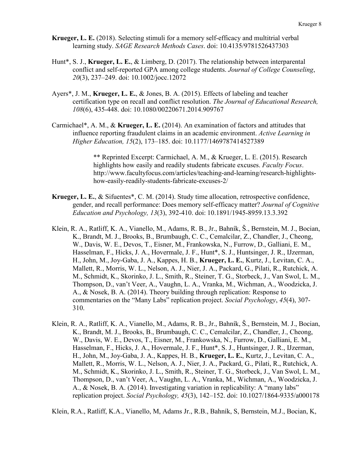- **Krueger, L. E.** (2018). Selecting stimuli for a memory self-efficacy and multitrial verbal learning study. *SAGE Research Methods Cases*. doi: 10.4135/9781526437303
- Hunt\*, S. J., **Krueger, L. E.**, & Limberg, D. (2017). The relationship between interparental conflict and self-reported GPA among college students. *Journal of College Counseling*, *20*(3), 237–249. doi: 10.1002/jocc.12072
- Ayers\*, J. M., **Krueger, L. E.**, & Jones, B. A. (2015). Effects of labeling and teacher certification type on recall and conflict resolution. *The Journal of Educational Research, 108*(6), 435-448. doi: 10.1080/00220671.2014.909767
- Carmichael\*, A. M., & **Krueger, L. E.** (2014). An examination of factors and attitudes that influence reporting fraudulent claims in an academic environment. *Active Learning in Higher Education, 15*(2), 173–185. doi: 10.1177/1469787414527389

\*\* Reprinted Excerpt: Carmichael, A. M., & Krueger, L. E. (2015). Research highlights how easily and readily students fabricate excuses. *Faculty Focus*. http://www.facultyfocus.com/articles/teaching-and-learning/research-highlightshow-easily-readily-students-fabricate-excuses-2/

- **Krueger, L. E.**, & Sifuentes\*, C. M. (2014). Study time allocation, retrospective confidence, gender, and recall performance: Does memory self-efficacy matter? *Journal of Cognitive Education and Psychology, 13*(3), 392-410. doi: 10.1891/1945-8959.13.3.392
- Klein, R. A., Ratliff, K. A., Vianello, M., Adams, R. B., Jr., Bahník, Š., Bernstein, M. J., Bocian, K., Brandt, M. J., Brooks, B., Brumbaugh, C. C., Cemalcilar, Z., Chandler, J., Cheong, W., Davis, W. E., Devos, T., Eisner, M., Frankowska, N., Furrow, D., Galliani, E. M., Hasselman, F., Hicks, J. A., Hovermale, J. F., Hunt\*, S. J., Huntsinger, J. R., IJzerman, H., John, M., Joy-Gaba, J. A., Kappes, H. B., **Krueger, L. E.**, Kurtz, J., Levitan, C. A., Mallett, R., Morris, W. L., Nelson, A. J., Nier, J. A., Packard, G., Pilati, R., Rutchick, A. M., Schmidt, K., Skorinko, J. L., Smith, R., Steiner, T. G., Storbeck, J., Van Swol, L. M., Thompson, D., van't Veer, A., Vaughn, L. A., Vranka, M., Wichman, A., Woodzicka, J. A., & Nosek, B. A. (2014). Theory building through replication: Response to commentaries on the "Many Labs" replication project. *Social Psychology*, *45*(4), 307- 310.
- Klein, R. A., Ratliff, K. A., Vianello, M., Adams, R. B., Jr., Bahník, Š., Bernstein, M. J., Bocian, K., Brandt, M. J., Brooks, B., Brumbaugh, C. C., Cemalcilar, Z., Chandler, J., Cheong, W., Davis, W. E., Devos, T., Eisner, M., Frankowska, N., Furrow, D., Galliani, E. M., Hasselman, F., Hicks, J. A., Hovermale, J. F., Hunt\*, S. J., Huntsinger, J. R., IJzerman, H., John, M., Joy-Gaba, J. A., Kappes, H. B., **Krueger, L. E.**, Kurtz, J., Levitan, C. A., Mallett, R., Morris, W. L., Nelson, A. J., Nier, J. A., Packard, G., Pilati, R., Rutchick, A. M., Schmidt, K., Skorinko, J. L., Smith, R., Steiner, T. G., Storbeck, J., Van Swol, L. M., Thompson, D., van't Veer, A., Vaughn, L. A., Vranka, M., Wichman, A., Woodzicka, J. A., & Nosek, B. A. (2014). Investigating variation in replicability: A "many labs" replication project. *Social Psychology, 45*(3), 142–152. doi: 10.1027/1864-9335/a000178

Klein, R.A., Ratliff, K.A., Vianello, M, Adams Jr., R.B., Bahník, S, Bernstein, M.J., Bocian, K,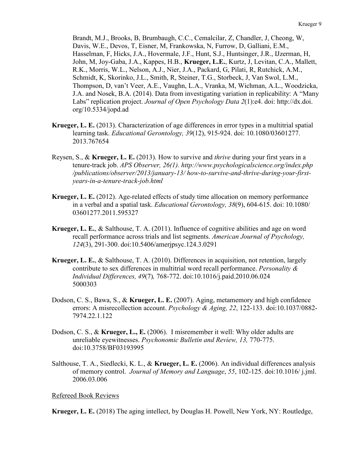Brandt, M.J., Brooks, B, Brumbaugh, C.C., Cemalcilar, Z, Chandler, J, Cheong, W, Davis, W.E., Devos, T, Eisner, M, Frankowska, N, Furrow, D, Galliani, E.M., Hasselman, F, Hicks, J.A., Hovermale, J.F., Hunt, S.J., Huntsinger, J.R., IJzerman, H, John, M, Joy-Gaba, J.A., Kappes, H.B., **Krueger, L.E.**, Kurtz, J, Levitan, C.A., Mallett, R.K., Morris, W.L., Nelson, A.J., Nier, J.A., Packard, G, Pilati, R, Rutchick, A.M., Schmidt, K, Skorinko, J.L., Smith, R, Steiner, T.G., Storbeck, J, Van Swol, L.M., Thompson, D, van't Veer, A.E., Vaughn, L.A., Vranka, M, Wichman, A.L., Woodzicka, J.A. and Nosek, B.A. (2014). Data from investigating variation in replicability: A "Many Labs" replication project. *Journal of Open Psychology Data 2*(1):e4. doi: http://dx.doi. org/10.5334/jopd.ad

- **Krueger, L. E.** (2013). Characterization of age differences in error types in a multitrial spatial learning task. *Educational Gerontology, 39*(12), 915-924. doi: 10.1080/03601277. 2013.767654
- Reysen, S., & **Krueger, L. E.** (2013). How to survive and *thrive* during your first years in a tenure-track job. *APS Observer, 26(1). http://www.psychologicalscience.org/index.php /publications/observer/2013/january-13/ how-to-survive-and-thrive-during-your-firstyears-in-a-tenure-track-job.html*
- **Krueger, L. E.** (2012). Age-related effects of study time allocation on memory performance in a verbal and a spatial task. *Educational Gerontology, 38*(9), 604-615. doi: 10.1080/ 03601277.2011.595327
- **Krueger, L. E.**, & Salthouse, T. A. (2011). Influence of cognitive abilities and age on word recall performance across trials and list segments. *American Journal of Psychology, 124*(3), 291-300. doi:10.5406/amerjpsyc.124.3.0291
- **Krueger, L. E.**, & Salthouse, T. A. (2010). Differences in acquisition, not retention, largely contribute to sex differences in multitrial word recall performance. *Personality & Individual Differences, 49*(7)*,* 768-772. doi:10.1016/j.paid.2010.06.024 5000303
- Dodson, C. S., Bawa, S., & **Krueger, L. E.** (2007). Aging, metamemory and high confidence errors: A misrecollection account. *Psychology & Aging, 22*, 122-133. doi:10.1037/0882- 7974.22.1.122
- Dodson, C. S., & **Krueger, L., E.** (2006). I misremember it well: Why older adults are unreliable eyewitnesses. *Psychonomic Bulletin and Review, 13,* 770-775. doi:10.3758/BF03193995
- Salthouse, T. A., Siedlecki, K. L., & **Krueger, L. E.** (2006). An individual differences analysis of memory control. *Journal of Memory and Language*, *55*, 102-125. doi:10.1016/ j.jml. 2006.03.006

Refereed Book Reviews

**Krueger, L. E.** (2018) The aging intellect, by Douglas H. Powell, New York, NY: Routledge,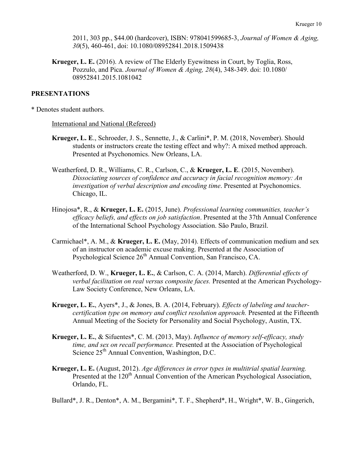2011, 303 pp., \$44.00 (hardcover), ISBN: 978041599685-3, *Journal of Women & Aging, 30*(5), 460-461, doi: 10.1080/08952841.2018.1509438

**Krueger, L. E.** (2016). A review of The Elderly Eyewitness in Court, by Toglia, Ross, Pozzulo, and Pica. *Journal of Women & Aging, 28*(4), 348-349. doi: 10.1080/ 08952841.2015.1081042

#### **PRESENTATIONS**

\* Denotes student authors.

#### International and National (Refereed)

- **Krueger, L. E**., Schroeder, J. S., Sennette, J., & Carlini\*, P. M. (2018, November). Should students or instructors create the testing effect and why?: A mixed method approach. Presented at Psychonomics. New Orleans, LA.
- Weatherford, D. R., Williams, C. R., Carlson, C., & **Krueger, L. E**. (2015, November). *Dissociating sources of confidence and accuracy in facial recognition memory: An investigation of verbal description and encoding time*. Presented at Psychonomics. Chicago, IL.
- Hinojosa\*, R., & **Krueger, L. E.** (2015, June). *Professional learning communities, teacher's efficacy beliefs, and effects on job satisfaction*. Presented at the 37th Annual Conference of the International School Psychology Association. São Paulo, Brazil.
- Carmichael\*, A. M., & **Krueger, L. E.** (May, 2014). Effects of communication medium and sex of an instructor on academic excuse making. Presented at the Association of Psychological Science 26<sup>th</sup> Annual Convention, San Francisco, CA.
- Weatherford, D. W., **Krueger, L. E.**, & Carlson, C. A. (2014, March). *Differential effects of verbal facilitation on real versus composite faces.* Presented at the American Psychology-Law Society Conference, New Orleans, LA.
- **Krueger, L. E.**, Ayers\*, J., & Jones, B. A. (2014, February). *Effects of labeling and teachercertification type on memory and conflict resolution approach.* Presented at the Fifteenth Annual Meeting of the Society for Personality and Social Psychology, Austin, TX.
- **Krueger, L. E.**, & Sifuentes\*, C. M. (2013, May). *Influence of memory self-efficacy, study time, and sex on recall performance.* Presented at the Association of Psychological Science 25<sup>th</sup> Annual Convention, Washington, D.C.
- **Krueger, L. E.** (August, 2012). *Age differences in error types in multitrial spatial learning.*  Presented at the 120<sup>th</sup> Annual Convention of the American Psychological Association, Orlando, FL.

Bullard\*, J. R., Denton\*, A. M., Bergamini\*, T. F., Shepherd\*, H., Wright\*, W. B., Gingerich,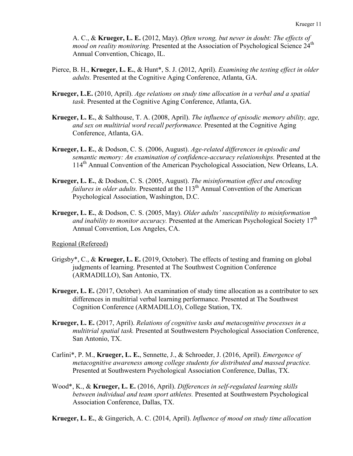A. C., & **Krueger, L. E.** (2012, May). *Often wrong, but never in doubt: The effects of mood on reality monitoring.* Presented at the Association of Psychological Science 24<sup>th</sup> Annual Convention, Chicago, IL.

- Pierce, B. H., **Krueger, L. E.**, & Hunt\*, S. J. (2012, April). *Examining the testing effect in older adults.* Presented at the Cognitive Aging Conference, Atlanta, GA.
- **Krueger, L.E.** (2010, April). *Age relations on study time allocation in a verbal and a spatial task.* Presented at the Cognitive Aging Conference, Atlanta, GA.
- **Krueger, L. E.**, & Salthouse, T. A. (2008, April). *The influence of episodic memory ability, age, and sex on multitrial word recall performance.* Presented at the Cognitive Aging Conference, Atlanta, GA.
- **Krueger, L. E.**, & Dodson, C. S. (2006, August). *Age-related differences in episodic and semantic memory: An examination of confidence-accuracy relationships.* Presented at the 114th Annual Convention of the American Psychological Association, New Orleans, LA.
- **Krueger, L. E.**, & Dodson, C. S. (2005, August). *The misinformation effect and encoding failures in older adults.* Presented at the 113<sup>th</sup> Annual Convention of the American Psychological Association, Washington, D.C.
- **Krueger, L. E.**, & Dodson, C. S. (2005, May). *Older adults' susceptibility to misinformation*  and inability to monitor accuracy. Presented at the American Psychological Society 17<sup>th</sup> Annual Convention, Los Angeles, CA.

Regional (Refereed)

- Grigsby\*, C., & **Krueger, L. E.** (2019, October). The effects of testing and framing on global judgments of learning. Presented at The Southwest Cognition Conference (ARMADILLO), San Antonio, TX.
- **Krueger, L. E.** (2017, October). An examination of study time allocation as a contributor to sex differences in multitrial verbal learning performance. Presented at The Southwest Cognition Conference (ARMADILLO), College Station, TX.
- **Krueger, L. E.** (2017, April). *Relations of cognitive tasks and metacognitive processes in a multitrial spatial task.* Presented at Southwestern Psychological Association Conference, San Antonio, TX.
- Carlini\*, P. M., **Krueger, L. E.**, Sennette, J., & Schroeder, J. (2016, April). *Emergence of metacognitive awareness among college students for distributed and massed practice.*  Presented at Southwestern Psychological Association Conference, Dallas, TX.
- Wood\*, K., & **Krueger, L. E.** (2016, April). *Differences in self-regulated learning skills between individual and team sport athletes.* Presented at Southwestern Psychological Association Conference, Dallas, TX.
- **Krueger, L. E.**, & Gingerich, A. C. (2014, April). *Influence of mood on study time allocation*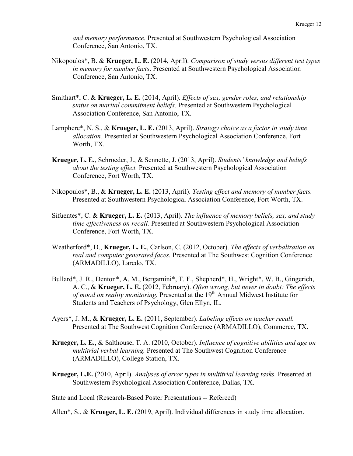*and memory performance.* Presented at Southwestern Psychological Association Conference, San Antonio, TX.

- Nikopoulos\*, B. & **Krueger, L. E.** (2014, April). *Comparison of study versus different test types in memory for number facts*. Presented at Southwestern Psychological Association Conference, San Antonio, TX.
- Smithart\*, C. & **Krueger, L. E.** (2014, April). *Effects of sex, gender roles, and relationship status on marital commitment beliefs.* Presented at Southwestern Psychological Association Conference, San Antonio, TX.
- Lamphere\*, N. S., & **Krueger, L. E.** (2013, April). *Strategy choice as a factor in study time allocation.* Presented at Southwestern Psychological Association Conference, Fort Worth, TX.
- **Krueger, L. E.**, Schroeder, J., & Sennette, J. (2013, April). *Students' knowledge and beliefs about the testing effect.* Presented at Southwestern Psychological Association Conference, Fort Worth, TX.
- Nikopoulos\*, B., & **Krueger, L. E.** (2013, April). *Testing effect and memory of number facts.*  Presented at Southwestern Psychological Association Conference, Fort Worth, TX.
- Sifuentes\*, C. & **Krueger, L. E.** (2013, April). *The influence of memory beliefs, sex, and study time effectiveness on recall.* Presented at Southwestern Psychological Association Conference, Fort Worth, TX.
- Weatherford\*, D., **Krueger, L. E.**, Carlson, C. (2012, October). *The effects of verbalization on real and computer generated faces.* Presented at The Southwest Cognition Conference (ARMADILLO), Laredo, TX.
- Bullard\*, J. R., Denton\*, A. M., Bergamini\*, T. F., Shepherd\*, H., Wright\*, W. B., Gingerich, A. C., & **Krueger, L. E.** (2012, February). *Often wrong, but never in doubt: The effects of mood on reality monitoring.* Presented at the 19<sup>th</sup> Annual Midwest Institute for Students and Teachers of Psychology, Glen Ellyn, IL.
- Ayers\*, J. M., & **Krueger, L. E.** (2011, September). *Labeling effects on teacher recall.* Presented at The Southwest Cognition Conference (ARMADILLO), Commerce, TX.
- **Krueger, L. E.**, & Salthouse, T. A. (2010, October). *Influence of cognitive abilities and age on multitrial verbal learning.* Presented at The Southwest Cognition Conference (ARMADILLO), College Station, TX.
- **Krueger, L.E.** (2010, April). *Analyses of error types in multitrial learning tasks.* Presented at Southwestern Psychological Association Conference, Dallas, TX.

State and Local (Research-Based Poster Presentations -- Refereed)

Allen\*, S., & **Krueger, L. E.** (2019, April). Individual differences in study time allocation.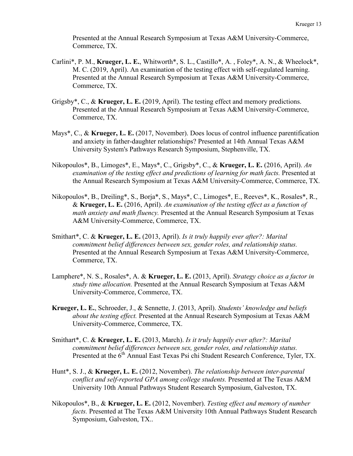Presented at the Annual Research Symposium at Texas A&M University-Commerce, Commerce, TX.

- Carlini\*, P. M., **Krueger, L. E.**, Whitworth\*, S. L., Castillo\*, A. , Foley\*, A. N., & Wheelock\*, M. C. (2019, April). An examination of the testing effect with self-regulated learning. Presented at the Annual Research Symposium at Texas A&M University-Commerce, Commerce, TX.
- Grigsby\*, C., & **Krueger, L. E.** (2019, April). The testing effect and memory predictions. Presented at the Annual Research Symposium at Texas A&M University-Commerce, Commerce, TX.
- Mays\*, C., & **Krueger, L. E.** (2017, November). Does locus of control influence parentification and anxiety in father-daughter relationships? Presented at 14th Annual Texas A&M University System's Pathways Research Symposium, Stephenville, TX.
- Nikopoulos\*, B., Limoges\*, E., Mays\*, C., Grigsby\*, C., & **Krueger, L. E.** (2016, April). *An examination of the testing effect and predictions of learning for math facts.* Presented at the Annual Research Symposium at Texas A&M University-Commerce, Commerce, TX.
- Nikopoulos\*, B., Dreiling\*, S., Borja\*, S., Mays\*, C., Limoges\*, E., Reeves\*, K., Rosales\*, R., & **Krueger, L. E.** (2016, April). *An examination of the testing effect as a function of math anxiety and math fluency.* Presented at the Annual Research Symposium at Texas A&M University-Commerce, Commerce, TX.
- Smithart\*, C. & **Krueger, L. E.** (2013, April). *Is it truly happily ever after?: Marital commitment belief differences between sex, gender roles, and relationship status.* Presented at the Annual Research Symposium at Texas A&M University-Commerce, Commerce, TX.
- Lamphere\*, N. S., Rosales\*, A. & **Krueger, L. E.** (2013, April). *Strategy choice as a factor in study time allocation.* Presented at the Annual Research Symposium at Texas A&M University-Commerce, Commerce, TX.
- **Krueger, L. E.**, Schroeder, J., & Sennette, J. (2013, April). *Students' knowledge and beliefs about the testing effect.* Presented at the Annual Research Symposium at Texas A&M University-Commerce, Commerce, TX.
- Smithart\*, C. & **Krueger, L. E.** (2013, March). *Is it truly happily ever after?: Marital commitment belief differences between sex, gender roles, and relationship status.* Presented at the  $6<sup>th</sup>$  Annual East Texas Psi chi Student Research Conference, Tyler, TX.
- Hunt\*, S. J., & **Krueger, L. E.** (2012, November). *The relationship between inter-parental conflict and self-reported GPA among college students.* Presented at The Texas A&M University 10th Annual Pathways Student Research Symposium, Galveston, TX.
- Nikopoulos\*, B., & **Krueger, L. E.** (2012, November). *Testing effect and memory of number facts.* Presented at The Texas A&M University 10th Annual Pathways Student Research Symposium, Galveston, TX..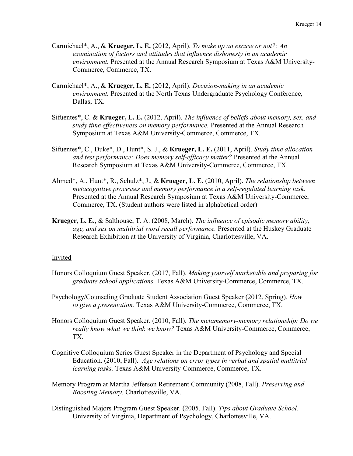- Carmichael\*, A., & **Krueger, L. E.** (2012, April). *To make up an excuse or not?: An examination of factors and attitudes that influence dishonesty in an academic environment.* Presented at the Annual Research Symposium at Texas A&M University-Commerce, Commerce, TX.
- Carmichael\*, A., & **Krueger, L. E.** (2012, April). *Decision-making in an academic environment.* Presented at the North Texas Undergraduate Psychology Conference, Dallas, TX.
- Sifuentes\*, C. & **Krueger, L. E.** (2012, April). *The influence of beliefs about memory, sex, and study time effectiveness on memory performance.* Presented at the Annual Research Symposium at Texas A&M University-Commerce, Commerce, TX.
- Sifuentes\*, C., Duke\*, D., Hunt\*, S. J., & **Krueger, L. E.** (2011, April). *Study time allocation and test performance: Does memory self-efficacy matter?* Presented at the Annual Research Symposium at Texas A&M University-Commerce, Commerce, TX.
- Ahmed\*, A., Hunt\*, R., Schulz\*, J., & **Krueger, L. E.** (2010, April). *The relationship between metacognitive processes and memory performance in a self-regulated learning task.*  Presented at the Annual Research Symposium at Texas A&M University-Commerce, Commerce, TX. (Student authors were listed in alphabetical order)
- **Krueger, L. E.**, & Salthouse, T. A. (2008, March). *The influence of episodic memory ability, age, and sex on multitrial word recall performance.* Presented at the Huskey Graduate Research Exhibition at the University of Virginia, Charlottesville, VA.

#### Invited

- Honors Colloquium Guest Speaker. (2017, Fall). *Making yourself marketable and preparing for graduate school applications.* Texas A&M University-Commerce, Commerce, TX.
- Psychology/Counseling Graduate Student Association Guest Speaker (2012, Spring). *How to give a presentation.* Texas A&M University-Commerce, Commerce, TX.
- Honors Colloquium Guest Speaker. (2010, Fall). *The metamemory-memory relationship: Do we really know what we think we know?* Texas A&M University-Commerce, Commerce, TX.
- Cognitive Colloquium Series Guest Speaker in the Department of Psychology and Special Education. (2010, Fall). *Age relations on error types in verbal and spatial multitrial learning tasks.* Texas A&M University-Commerce, Commerce, TX.
- Memory Program at Martha Jefferson Retirement Community (2008, Fall). *Preserving and Boosting Memory.* Charlottesville, VA.
- Distinguished Majors Program Guest Speaker. (2005, Fall). *Tips about Graduate School.* University of Virginia, Department of Psychology, Charlottesville, VA.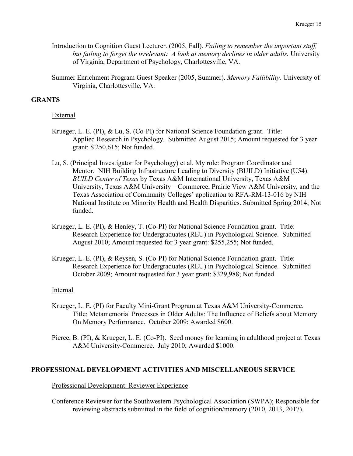- Introduction to Cognition Guest Lecturer. (2005, Fall). *Failing to remember the important stuff,*  but failing to forget the irrelevant: A look at memory declines in older adults. University of Virginia, Department of Psychology, Charlottesville, VA.
- Summer Enrichment Program Guest Speaker (2005, Summer). *Memory Fallibility.* University of Virginia, Charlottesville, VA.

### **GRANTS**

#### External

- Krueger, L. E. (PI), & Lu, S. (Co-PI) for National Science Foundation grant. Title: Applied Research in Psychology. Submitted August 2015; Amount requested for 3 year grant: \$ 250,615; Not funded.
- Lu, S. (Principal Investigator for Psychology) et al. My role: Program Coordinator and Mentor. NIH Building Infrastructure Leading to Diversity (BUILD) Initiative (U54). *BUILD Center of Texas* by Texas A&M International University, Texas A&M University, Texas A&M University – Commerce, Prairie View A&M University, and the Texas Association of Community Colleges' application to RFA-RM-13-016 by NIH National Institute on Minority Health and Health Disparities. Submitted Spring 2014; Not funded.
- Krueger, L. E. (PI), & Henley, T. (Co-PI) for National Science Foundation grant. Title: Research Experience for Undergraduates (REU) in Psychological Science. Submitted August 2010; Amount requested for 3 year grant: \$255,255; Not funded.
- Krueger, L. E. (PI), & Reysen, S. (Co-PI) for National Science Foundation grant. Title: Research Experience for Undergraduates (REU) in Psychological Science. Submitted October 2009; Amount requested for 3 year grant: \$329,988; Not funded.

### Internal

- Krueger, L. E. (PI) for Faculty Mini-Grant Program at Texas A&M University-Commerce. Title: Metamemorial Processes in Older Adults: The Influence of Beliefs about Memory On Memory Performance. October 2009; Awarded \$600.
- Pierce, B. (PI), & Krueger, L. E. (Co-PI). Seed money for learning in adulthood project at Texas A&M University-Commerce. July 2010; Awarded \$1000.

### **PROFESSIONAL DEVELOPMENT ACTIVITIES AND MISCELLANEOUS SERVICE**

Professional Development: Reviewer Experience

Conference Reviewer for the Southwestern Psychological Association (SWPA); Responsible for reviewing abstracts submitted in the field of cognition/memory (2010, 2013, 2017).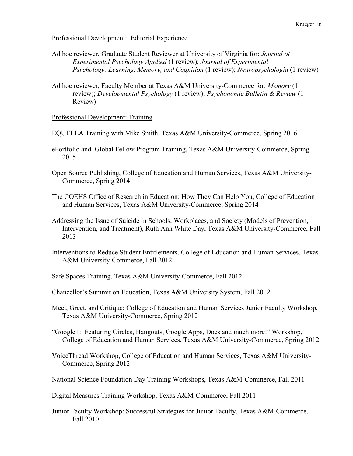#### Professional Development: Editorial Experience

- Ad hoc reviewer, Graduate Student Reviewer at University of Virginia for: *Journal of Experimental Psychology Applied* (1 review); *Journal of Experimental Psychology: Learning, Memory, and Cognition* (1 review); *Neuropsychologia* (1 review)
- Ad hoc reviewer, Faculty Member at Texas A&M University-Commerce for: *Memory* (1 review); *Developmental Psychology* (1 review); *Psychonomic Bulletin & Review* (1 Review)

#### Professional Development: Training

- EQUELLA Training with Mike Smith, Texas A&M University-Commerce, Spring 2016
- ePortfolio and Global Fellow Program Training, Texas A&M University-Commerce, Spring 2015
- Open Source Publishing, College of Education and Human Services, Texas A&M University-Commerce, Spring 2014
- The COEHS Office of Research in Education: How They Can Help You, College of Education and Human Services, Texas A&M University-Commerce, Spring 2014
- Addressing the Issue of Suicide in Schools, Workplaces, and Society (Models of Prevention, Intervention, and Treatment), Ruth Ann White Day, Texas A&M University-Commerce, Fall 2013
- Interventions to Reduce Student Entitlements, College of Education and Human Services, Texas A&M University-Commerce, Fall 2012
- Safe Spaces Training, Texas A&M University-Commerce, Fall 2012
- Chancellor's Summit on Education, Texas A&M University System, Fall 2012
- Meet, Greet, and Critique: College of Education and Human Services Junior Faculty Workshop, Texas A&M University-Commerce, Spring 2012
- "Google+: Featuring Circles, Hangouts, Google Apps, Docs and much more!" Workshop, College of Education and Human Services, Texas A&M University-Commerce, Spring 2012
- VoiceThread Workshop, College of Education and Human Services, Texas A&M University-Commerce, Spring 2012
- National Science Foundation Day Training Workshops, Texas A&M-Commerce, Fall 2011

Digital Measures Training Workshop, Texas A&M-Commerce, Fall 2011

Junior Faculty Workshop: Successful Strategies for Junior Faculty, Texas A&M-Commerce, Fall 2010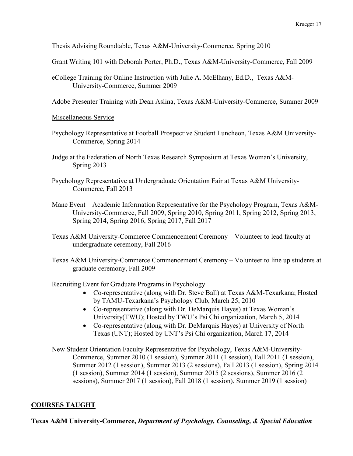Thesis Advising Roundtable, Texas A&M-University-Commerce, Spring 2010

Grant Writing 101 with Deborah Porter, Ph.D., Texas A&M-University-Commerce, Fall 2009

eCollege Training for Online Instruction with Julie A. McElhany, Ed.D., Texas A&M-University-Commerce, Summer 2009

Adobe Presenter Training with Dean Aslina, Texas A&M-University-Commerce, Summer 2009

Miscellaneous Service

- Psychology Representative at Football Prospective Student Luncheon, Texas A&M University-Commerce, Spring 2014
- Judge at the Federation of North Texas Research Symposium at Texas Woman's University, Spring 2013
- Psychology Representative at Undergraduate Orientation Fair at Texas A&M University-Commerce, Fall 2013
- Mane Event Academic Information Representative for the Psychology Program, Texas A&M-University-Commerce, Fall 2009, Spring 2010, Spring 2011, Spring 2012, Spring 2013, Spring 2014, Spring 2016, Spring 2017, Fall 2017
- Texas A&M University-Commerce Commencement Ceremony Volunteer to lead faculty at undergraduate ceremony, Fall 2016
- Texas A&M University-Commerce Commencement Ceremony Volunteer to line up students at graduate ceremony, Fall 2009

Recruiting Event for Graduate Programs in Psychology

- Co-representative (along with Dr. Steve Ball) at Texas A&M-Texarkana; Hosted by TAMU-Texarkana's Psychology Club, March 25, 2010
- Co-representative (along with Dr. DeMarquis Hayes) at Texas Woman's University(TWU); Hosted by TWU's Psi Chi organization, March 5, 2014
- Co-representative (along with Dr. DeMarquis Hayes) at University of North Texas (UNT); Hosted by UNT's Psi Chi organization, March 17, 2014

New Student Orientation Faculty Representative for Psychology, Texas A&M-University-Commerce, Summer 2010 (1 session), Summer 2011 (1 session), Fall 2011 (1 session), Summer 2012 (1 session), Summer 2013 (2 sessions), Fall 2013 (1 session), Spring 2014 (1 session), Summer 2014 (1 session), Summer 2015 (2 sessions), Summer 2016 (2 sessions), Summer 2017 (1 session), Fall 2018 (1 session), Summer 2019 (1 session)

## **COURSES TAUGHT**

**Texas A&M University-Commerce,** *Department of Psychology, Counseling, & Special Education*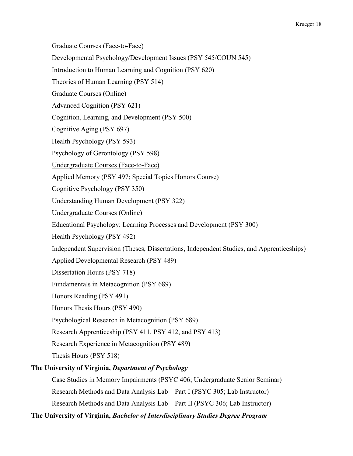Graduate Courses (Face-to-Face) Developmental Psychology/Development Issues (PSY 545/COUN 545) Introduction to Human Learning and Cognition (PSY 620) Theories of Human Learning (PSY 514) Graduate Courses (Online) Advanced Cognition (PSY 621) Cognition, Learning, and Development (PSY 500) Cognitive Aging (PSY 697) Health Psychology (PSY 593) Psychology of Gerontology (PSY 598) Undergraduate Courses (Face-to-Face) Applied Memory (PSY 497; Special Topics Honors Course) Cognitive Psychology (PSY 350) Understanding Human Development (PSY 322) Undergraduate Courses (Online) Educational Psychology: Learning Processes and Development (PSY 300) Health Psychology (PSY 492) Independent Supervision (Theses, Dissertations, Independent Studies, and Apprenticeships) Applied Developmental Research (PSY 489) Dissertation Hours (PSY 718) Fundamentals in Metacognition (PSY 689) Honors Reading (PSY 491) Honors Thesis Hours (PSY 490) Psychological Research in Metacognition (PSY 689) Research Apprenticeship (PSY 411, PSY 412, and PSY 413) Research Experience in Metacognition (PSY 489) Thesis Hours (PSY 518) **The University of Virginia,** *Department of Psychology* Case Studies in Memory Impairments (PSYC 406; Undergraduate Senior Seminar) Research Methods and Data Analysis Lab – Part I (PSYC 305; Lab Instructor)

Research Methods and Data Analysis Lab – Part II (PSYC 306; Lab Instructor)

**The University of Virginia,** *Bachelor of Interdisciplinary Studies Degree Program*